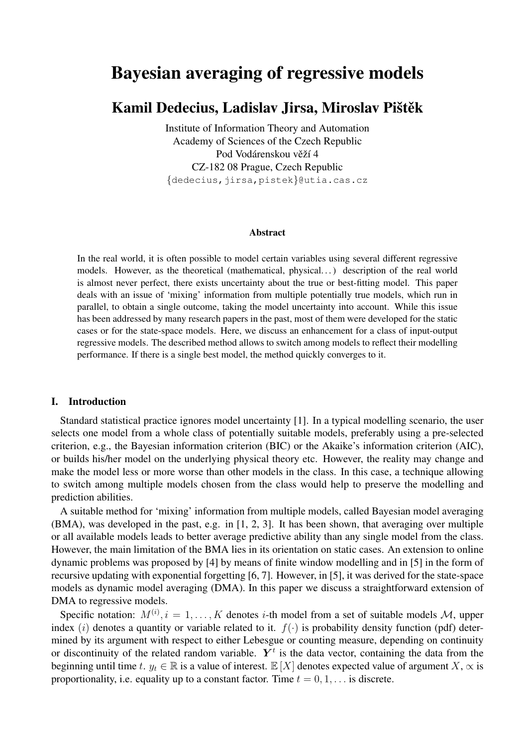# Bayesian averaging of regressive models

# Kamil Dedecius, Ladislav Jirsa, Miroslav Pištěk

Institute of Information Theory and Automation Academy of Sciences of the Czech Republic Pod Vodárenskou věží 4 CZ-182 08 Prague, Czech Republic {dedecius,jirsa,pistek}@utia.cas.cz

#### Abstract

In the real world, it is often possible to model certain variables using several different regressive models. However, as the theoretical (mathematical, physical. . . ) description of the real world is almost never perfect, there exists uncertainty about the true or best-fitting model. This paper deals with an issue of 'mixing' information from multiple potentially true models, which run in parallel, to obtain a single outcome, taking the model uncertainty into account. While this issue has been addressed by many research papers in the past, most of them were developed for the static cases or for the state-space models. Here, we discuss an enhancement for a class of input-output regressive models. The described method allows to switch among models to reflect their modelling performance. If there is a single best model, the method quickly converges to it.

# I. Introduction

Standard statistical practice ignores model uncertainty [1]. In a typical modelling scenario, the user selects one model from a whole class of potentially suitable models, preferably using a pre-selected criterion, e.g., the Bayesian information criterion (BIC) or the Akaike's information criterion (AIC), or builds his/her model on the underlying physical theory etc. However, the reality may change and make the model less or more worse than other models in the class. In this case, a technique allowing to switch among multiple models chosen from the class would help to preserve the modelling and prediction abilities.

A suitable method for 'mixing' information from multiple models, called Bayesian model averaging (BMA), was developed in the past, e.g. in [1, 2, 3]. It has been shown, that averaging over multiple or all available models leads to better average predictive ability than any single model from the class. However, the main limitation of the BMA lies in its orientation on static cases. An extension to online dynamic problems was proposed by [4] by means of finite window modelling and in [5] in the form of recursive updating with exponential forgetting [6, 7]. However, in [5], it was derived for the state-space models as dynamic model averaging (DMA). In this paper we discuss a straightforward extension of DMA to regressive models.

Specific notation:  $M^{(i)}$ ,  $i = 1, ..., K$  denotes *i*-th model from a set of suitable models M, upper index (i) denotes a quantity or variable related to it.  $f(\cdot)$  is probability density function (pdf) determined by its argument with respect to either Lebesgue or counting measure, depending on continuity or discontinuity of the related random variable.  $Y<sup>t</sup>$  is the data vector, containing the data from the beginning until time t.  $y_t \in \mathbb{R}$  is a value of interest.  $\mathbb{E}[X]$  denotes expected value of argument  $X, \infty$  is proportionality, i.e. equality up to a constant factor. Time  $t = 0, 1, \ldots$  is discrete.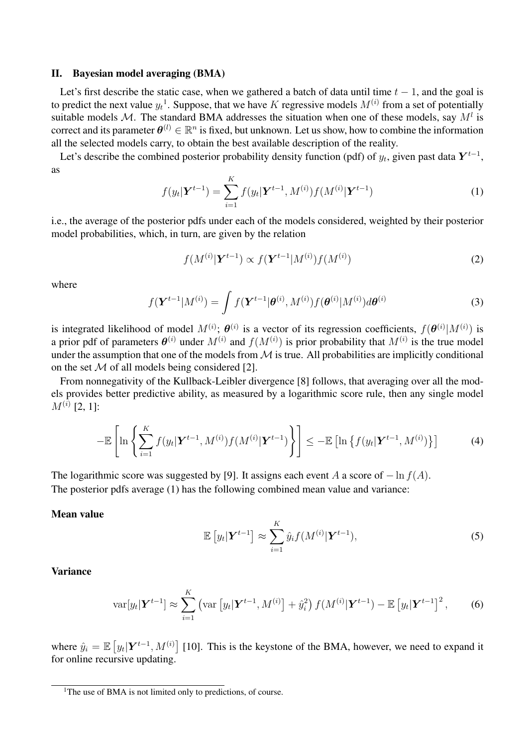# II. Bayesian model averaging (BMA)

Let's first describe the static case, when we gathered a batch of data until time  $t - 1$ , and the goal is to predict the next value  $y_t$ <sup>1</sup>. Suppose, that we have K regressive models  $M^{(i)}$  from a set of potentially suitable models M. The standard BMA addresses the situation when one of these models, say  $M<sup>l</sup>$  is correct and its parameter  $\theta^{(l)} \in \mathbb{R}^n$  is fixed, but unknown. Let us show, how to combine the information all the selected models carry, to obtain the best available description of the reality.

Let's describe the combined posterior probability density function (pdf) of  $y_t$ , given past data  $Y^{t-1}$ , as

$$
f(y_t|\mathbf{Y}^{t-1}) = \sum_{i=1}^K f(y_t|\mathbf{Y}^{t-1}, M^{(i)}) f(M^{(i)}|\mathbf{Y}^{t-1})
$$
(1)

i.e., the average of the posterior pdfs under each of the models considered, weighted by their posterior model probabilities, which, in turn, are given by the relation

$$
f(M^{(i)}|\mathbf{Y}^{t-1}) \propto f(\mathbf{Y}^{t-1}|M^{(i)})f(M^{(i)})
$$
\n(2)

where

$$
f(\mathbf{Y}^{t-1}|M^{(i)}) = \int f(\mathbf{Y}^{t-1}|\boldsymbol{\theta}^{(i)}, M^{(i)}) f(\boldsymbol{\theta}^{(i)}|M^{(i)}) d\boldsymbol{\theta}^{(i)}
$$
(3)

is integrated likelihood of model  $M^{(i)}$ ;  $\theta^{(i)}$  is a vector of its regression coefficients,  $f(\theta^{(i)}|M^{(i)})$  is a prior pdf of parameters  $\theta^{(i)}$  under  $M^{(i)}$  and  $f(M^{(i)})$  is prior probability that  $M^{(i)}$  is the true model under the assumption that one of the models from  $M$  is true. All probabilities are implicitly conditional on the set  $M$  of all models being considered [2].

From nonnegativity of the Kullback-Leibler divergence [8] follows, that averaging over all the models provides better predictive ability, as measured by a logarithmic score rule, then any single model  $M^{(i)}$  [2, 1]:

$$
-\mathbb{E}\left[\ln\left\{\sum_{i=1}^K f(y_t|\boldsymbol{Y}^{t-1}, M^{(i)})f(M^{(i)}|\boldsymbol{Y}^{t-1})\right\}\right] \leq -\mathbb{E}\left[\ln\left\{f(y_t|\boldsymbol{Y}^{t-1}, M^{(i)})\right\}\right]
$$
(4)

The logarithmic score was suggested by [9]. It assigns each event A a score of  $-\ln f(A)$ . The posterior pdfs average (1) has the following combined mean value and variance:

# Mean value

$$
\mathbb{E}\left[y_t|\boldsymbol{Y}^{t-1}\right] \approx \sum_{i=1}^K \hat{y}_i f(M^{(i)}|\boldsymbol{Y}^{t-1}),\tag{5}
$$

Variance

$$
\text{var}[y_t|\boldsymbol{Y}^{t-1}] \approx \sum_{i=1}^K \left( \text{var}\left[y_t|\boldsymbol{Y}^{t-1}, M^{(i)}\right] + \hat{y}_i^2 \right) f(M^{(i)}|\boldsymbol{Y}^{t-1}) - \mathbb{E}\left[y_t|\boldsymbol{Y}^{t-1}\right]^2,\tag{6}
$$

where  $\hat{y}_i = \mathbb{E}\left[y_t | \boldsymbol{Y}^{t-1}, M^{(i)}\right]$  [10]. This is the keystone of the BMA, however, we need to expand it for online recursive updating.

<sup>&</sup>lt;sup>1</sup>The use of BMA is not limited only to predictions, of course.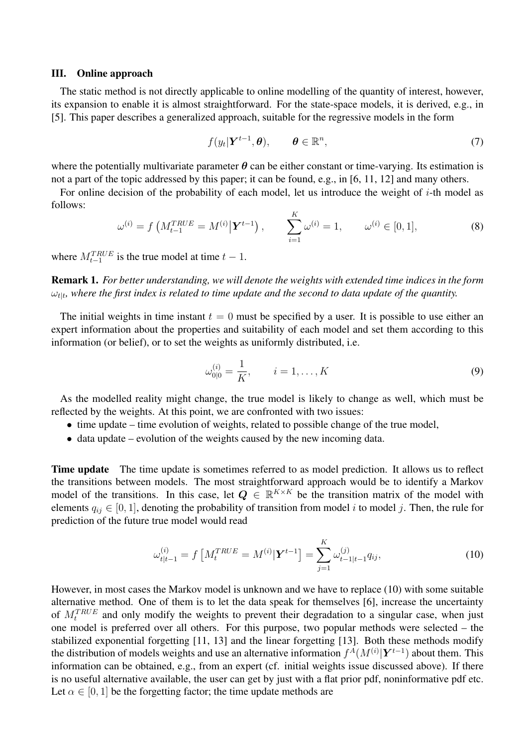#### III. Online approach

The static method is not directly applicable to online modelling of the quantity of interest, however, its expansion to enable it is almost straightforward. For the state-space models, it is derived, e.g., in [5]. This paper describes a generalized approach, suitable for the regressive models in the form

$$
f(y_t|\boldsymbol{Y}^{t-1},\boldsymbol{\theta}), \qquad \boldsymbol{\theta} \in \mathbb{R}^n, \tag{7}
$$

where the potentially multivariate parameter  $\theta$  can be either constant or time-varying. Its estimation is not a part of the topic addressed by this paper; it can be found, e.g., in [6, 11, 12] and many others.

For online decision of the probability of each model, let us introduce the weight of  $i$ -th model as follows:

$$
\omega^{(i)} = f\left(M_{t-1}^{TRUE} = M^{(i)} | \mathbf{Y}^{t-1}\right), \qquad \sum_{i=1}^{K} \omega^{(i)} = 1, \qquad \omega^{(i)} \in [0, 1], \tag{8}
$$

where  $M_{t-1}^{TRUE}$  is the true model at time  $t-1$ .

Remark 1. *For better understanding, we will denote the weights with extended time indices in the form*  $\omega_{t|t}$ , where the first index is related to time update and the second to data update of the quantity.

The initial weights in time instant  $t = 0$  must be specified by a user. It is possible to use either an expert information about the properties and suitability of each model and set them according to this information (or belief), or to set the weights as uniformly distributed, i.e.

$$
\omega_{0|0}^{(i)} = \frac{1}{K}, \qquad i = 1, \dots, K
$$
\n(9)

As the modelled reality might change, the true model is likely to change as well, which must be reflected by the weights. At this point, we are confronted with two issues:

- time update time evolution of weights, related to possible change of the true model,
- data update evolution of the weights caused by the new incoming data.

**Time update** The time update is sometimes referred to as model prediction. It allows us to reflect the transitions between models. The most straightforward approach would be to identify a Markov model of the transitions. In this case, let  $Q \in \mathbb{R}^{K \times K}$  be the transition matrix of the model with elements  $q_{ij} \in [0, 1]$ , denoting the probability of transition from model i to model j. Then, the rule for prediction of the future true model would read

$$
\omega_{t|t-1}^{(i)} = f\left[M_t^{TRUE} = M^{(i)}|\mathbf{Y}^{t-1}\right] = \sum_{j=1}^{K} \omega_{t-1|t-1}^{(j)} q_{ij},\tag{10}
$$

However, in most cases the Markov model is unknown and we have to replace (10) with some suitable alternative method. One of them is to let the data speak for themselves [6], increase the uncertainty of  $M_t^{TRUE}$  and only modify the weights to prevent their degradation to a singular case, when just one model is preferred over all others. For this purpose, two popular methods were selected – the stabilized exponential forgetting [11, 13] and the linear forgetting [13]. Both these methods modify the distribution of models weights and use an alternative information  $f^A(M^{(i)}|\boldsymbol{Y}^{t-1})$  about them. This information can be obtained, e.g., from an expert (cf. initial weights issue discussed above). If there is no useful alternative available, the user can get by just with a flat prior pdf, noninformative pdf etc. Let  $\alpha \in [0, 1]$  be the forgetting factor; the time update methods are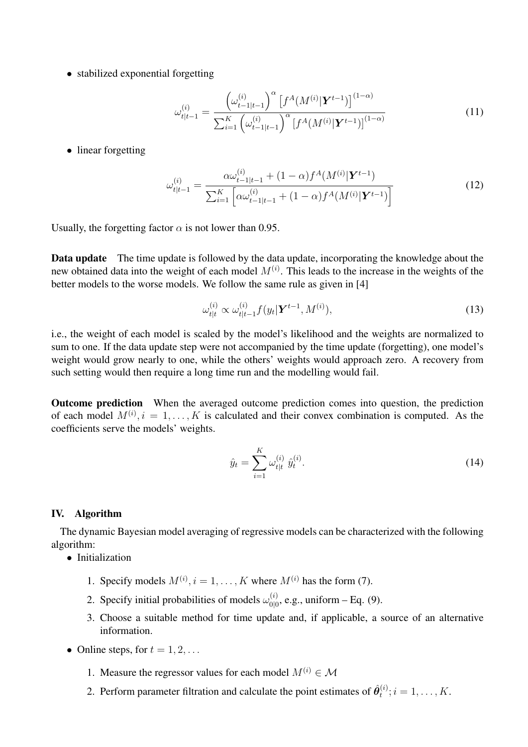• stabilized exponential forgetting

$$
\omega_{t|t-1}^{(i)} = \frac{\left(\omega_{t-1|t-1}^{(i)}\right)^{\alpha} \left[f^{A}(M^{(i)}|\mathbf{Y}^{t-1})\right]^{(1-\alpha)}}{\sum_{i=1}^{K} \left(\omega_{t-1|t-1}^{(i)}\right)^{\alpha} \left[f^{A}(M^{(i)}|\mathbf{Y}^{t-1})\right]^{(1-\alpha)}}
$$
(11)

• linear forgetting

$$
\omega_{t|t-1}^{(i)} = \frac{\alpha \omega_{t-1|t-1}^{(i)} + (1-\alpha)f^{A}(M^{(i)}|\mathbf{Y}^{t-1})}{\sum_{i=1}^{K} \left[ \alpha \omega_{t-1|t-1}^{(i)} + (1-\alpha)f^{A}(M^{(i)}|\mathbf{Y}^{t-1}) \right]}
$$
(12)

Usually, the forgetting factor  $\alpha$  is not lower than 0.95.

Data update The time update is followed by the data update, incorporating the knowledge about the new obtained data into the weight of each model  $M^{(i)}$ . This leads to the increase in the weights of the better models to the worse models. We follow the same rule as given in [4]

$$
\omega_{t|t}^{(i)} \propto \omega_{t|t-1}^{(i)} f(y_t | \boldsymbol{Y}^{t-1}, M^{(i)}), \tag{13}
$$

i.e., the weight of each model is scaled by the model's likelihood and the weights are normalized to sum to one. If the data update step were not accompanied by the time update (forgetting), one model's weight would grow nearly to one, while the others' weights would approach zero. A recovery from such setting would then require a long time run and the modelling would fail.

Outcome prediction When the averaged outcome prediction comes into question, the prediction of each model  $M^{(i)}$ ,  $i = 1, \ldots, K$  is calculated and their convex combination is computed. As the coefficients serve the models' weights.

$$
\hat{y}_t = \sum_{i=1}^K \omega_{t|t}^{(i)} \hat{y}_t^{(i)}.
$$
\n(14)

#### IV. Algorithm

The dynamic Bayesian model averaging of regressive models can be characterized with the following algorithm:

- Initialization
	- 1. Specify models  $M^{(i)}$ ,  $i = 1, ..., K$  where  $M^{(i)}$  has the form (7).
	- 2. Specify initial probabilities of models  $\omega_{\text{old}}^{(i)}$  $_{0|0}^{(i)}$ , e.g., uniform – Eq. (9).
	- 3. Choose a suitable method for time update and, if applicable, a source of an alternative information.
- Online steps, for  $t = 1, 2, \ldots$ 
	- 1. Measure the regressor values for each model  $M^{(i)} \in \mathcal{M}$
	- 2. Perform parameter filtration and calculate the point estimates of  $\hat{\theta}_t^{(i)}$  $t_i^{(i)}$ ;  $i = 1, \ldots, K$ .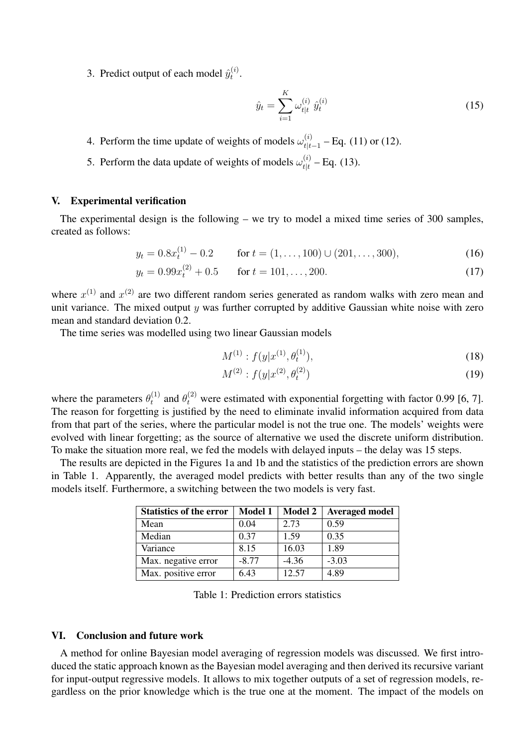3. Predict output of each model  $\hat{y}_t^{(i)}$  $t^{(i)}$ .

$$
\hat{y}_t = \sum_{i=1}^K \omega_{t|t}^{(i)} \hat{y}_t^{(i)}
$$
\n(15)

4. Perform the time update of weights of models  $\omega_{tt}^{(i)}$  $t_{t|t-1}^{(t)}$  – Eq. (11) or (12).

5. Perform the data update of weights of models  $\omega_{tt}^{(i)}$  $t_{t|t}^{(t)}$  – Eq. (13).

# V. Experimental verification

The experimental design is the following – we try to model a mixed time series of 300 samples, created as follows:

$$
y_t = 0.8x_t^{(1)} - 0.2 \qquad \text{for } t = (1, \dots, 100) \cup (201, \dots, 300), \tag{16}
$$

$$
y_t = 0.99x_t^{(2)} + 0.5 \qquad \text{for } t = 101, \dots, 200. \tag{17}
$$

where  $x^{(1)}$  and  $x^{(2)}$  are two different random series generated as random walks with zero mean and unit variance. The mixed output  $y$  was further corrupted by additive Gaussian white noise with zero mean and standard deviation 0.2.

The time series was modelled using two linear Gaussian models

$$
M^{(1)}: f(y|x^{(1)}, \theta_t^{(1)}), \tag{18}
$$

$$
M^{(2)}: f(y|x^{(2)}, \theta_t^{(2)}) \tag{19}
$$

where the parameters  $\theta_t^{(1)}$  $t_t^{(1)}$  and  $\theta_t^{(2)}$  were estimated with exponential forgetting with factor 0.99 [6, 7]. The reason for forgetting is justified by the need to eliminate invalid information acquired from data from that part of the series, where the particular model is not the true one. The models' weights were evolved with linear forgetting; as the source of alternative we used the discrete uniform distribution. To make the situation more real, we fed the models with delayed inputs – the delay was 15 steps.

The results are depicted in the Figures 1a and 1b and the statistics of the prediction errors are shown in Table 1. Apparently, the averaged model predicts with better results than any of the two single models itself. Furthermore, a switching between the two models is very fast.

| <b>Statistics of the error</b> | <b>Model 1</b> | <b>Model 2</b> | <b>Averaged model</b> |
|--------------------------------|----------------|----------------|-----------------------|
| Mean                           | 0.04           | 2.73           | 0.59                  |
| Median                         | 0.37           | 1.59           | 0.35                  |
| Variance                       | 8.15           | 16.03          | 1.89                  |
| Max. negative error            | $-8.77$        | $-4.36$        | $-3.03$               |
| Max. positive error            | 6.43           | 12.57          | 4.89                  |

Table 1: Prediction errors statistics

# VI. Conclusion and future work

A method for online Bayesian model averaging of regression models was discussed. We first introduced the static approach known as the Bayesian model averaging and then derived its recursive variant for input-output regressive models. It allows to mix together outputs of a set of regression models, regardless on the prior knowledge which is the true one at the moment. The impact of the models on